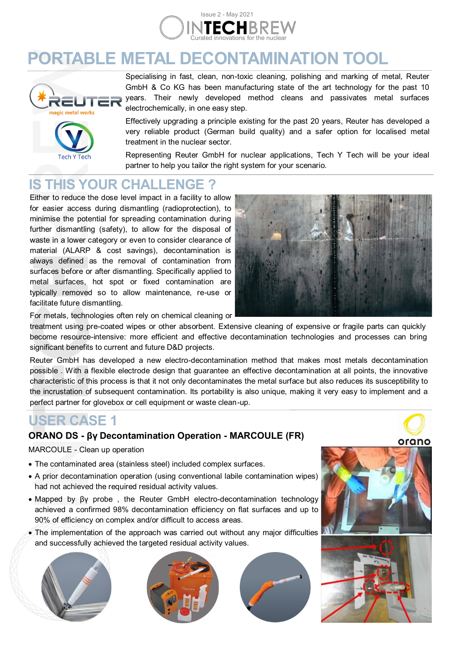

# **PORTABLE METAL DECONTAMINATION TOOL**



Specialising in fast, clean, non-toxic cleaning, polishing and marking of metal, Reuter GmbH & Co KG has been manufacturing state of the art technology for the past 10 years. Their newly developed method cleans and passivates metal surfaces electrochemically, in one easy step.

Effectively upgrading a principle existing for the past 20 years, Reuter has developed a very reliable product (German build quality) and a safer option for localised metal treatment in the nuclear sector.

Representing Reuter GmbH for nuclear applications, Tech Y Tech will be your ideal partner to help you tailor the right system for your scenario.

## **IS THIS YOUR CHALLENGE ?**

Either to reduce the dose level impact in a facility to allow for easier access during dismantling (radioprotection), to minimise the potential for spreading contamination during further dismantling (safety), to allow for the disposal of waste in a lower category or even to consider clearance of material (ALARP & cost savings), decontamination is always defined as the removal of contamination from surfaces before or after dismantling. Specifically applied to metal surfaces, hot spot or fixed contamination are typically removed so to allow maintenance, re-use or facilitate future dismantling.



For metals, technologies often rely on chemical cleaning or

treatment using pre-coated wipes or other absorbent. Extensive cleaning of expensive or fragile parts can quickly become resource-intensive: more efficient and effective decontamination technologies and processes can bring significant benefits to current and future D&D projects.

Reuter GmbH has developed a new electro-decontamination method that makes most metals decontamination possible . With a flexible electrode design that guarantee an effective decontamination at all points, the innovative characteristic of this process is that it not only decontaminates the metal surface but also reduces its susceptibility to the incrustation of subsequent contamination. Its portability is also unique, making it very easy to implement and a perfect partner for glovebox or cell equipment or waste clean-up.

### **USER CASE 1**

### **ORANO DS - βγ Decontamination Operation - MARCOULE (FR)**

#### MARCOULE - Clean up operation

- The contaminated area (stainless steel) included complex surfaces.
- A prior decontamination operation (using conventional labile contamination wipes) had not achieved the required residual activity values.
- Mapped by βγ probe , the Reuter GmbH electro-decontamination technology achieved a confirmed 98% decontamination efficiency on flat surfaces and up to 90% of efficiency on complex and/or difficult to access areas.
- The implementation of the approach was carried out without any major difficulties and successfully achieved the targeted residual activity values.